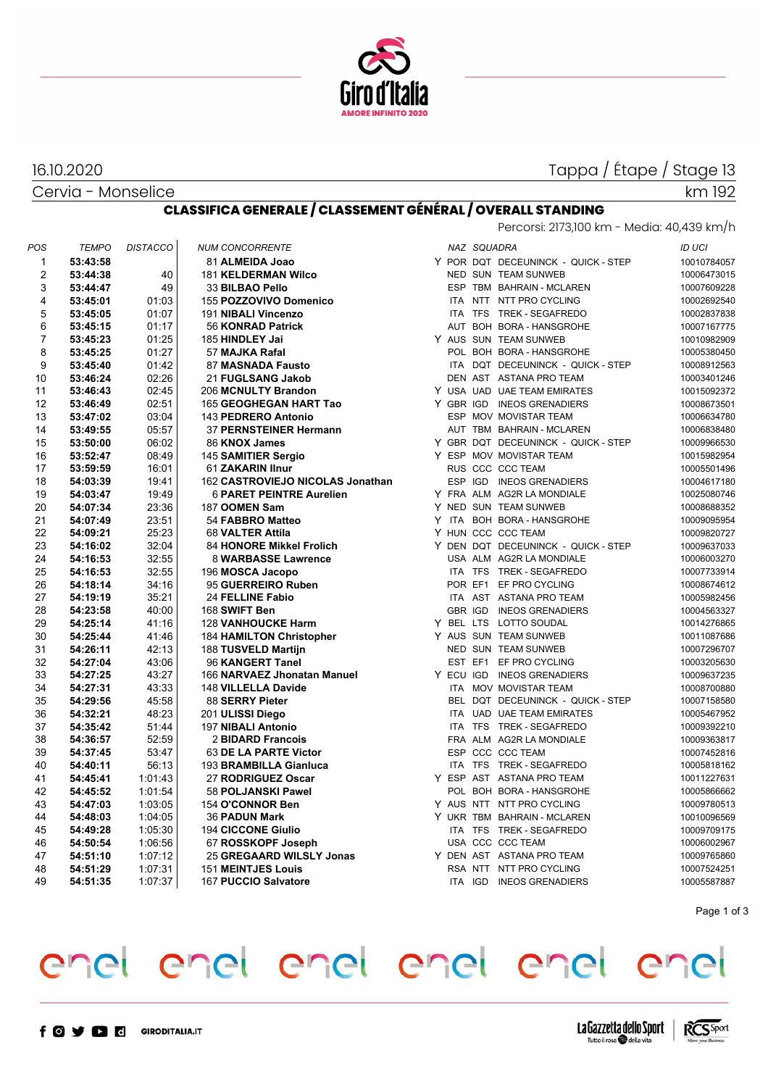

# Tappa / Étape / Stage 13

Cervia - Monselice

16.10.2020

#### km 192

#### **CLASSIFICA GENERALE / CLASSEMENT GÉNÉRAL / OVERALL STANDING** Percorsi: 2173,100 km - Media: 40,439 km/h

| POS            | <b>TEMPO</b> | <b>DISTACCO</b> | <b>NUM CONCORRENTE</b>           |            | NAZ SQUADRA |                                     | <b>ID UCI</b> |
|----------------|--------------|-----------------|----------------------------------|------------|-------------|-------------------------------------|---------------|
| 1              | 53:43:58     |                 | 81 ALMEIDA Joao                  |            |             | Y POR DQT DECEUNINCK - QUICK - STEP | 10010784057   |
| $\overline{2}$ | 53:44:38     | 40              | <b>181 KELDERMAN Wilco</b>       |            |             | NED SUN TEAM SUNWEB                 | 10006473015   |
| 3              | 53:44:47     | 49              | 33 BILBAO Pello                  |            |             | ESP TBM BAHRAIN - MCLAREN           | 10007609228   |
| 4              | 53:45:01     | 01:03           | 155 POZZOVIVO Domenico           |            |             | ITA NTT NTT PRO CYCLING             | 10002692540   |
| 5              | 53:45:05     | 01:07           | 191 NIBALI Vincenzo              |            |             | ITA TFS TREK - SEGAFREDO            | 10002837838   |
| 6              | 53:45:15     | 01:17           | 56 KONRAD Patrick                |            |             | AUT BOH BORA - HANSGROHE            | 10007167775   |
| 7              | 53:45:23     | 01:25           | 185 HINDLEY Jai                  |            |             | Y AUS SUN TEAM SUNWEB               | 10010982909   |
| 8              | 53:45:25     | 01:27           | 57 MAJKA Rafal                   |            |             | POL BOH BORA - HANSGROHE            | 10005380450   |
| 9              | 53:45:40     | 01:42           | 87 MASNADA Fausto                |            |             | ITA DOT DECEUNINCK - QUICK - STEP   | 10008912563   |
| 10             | 53:46:24     | 02:26           | 21 FUGLSANG Jakob                |            |             | DEN AST ASTANA PRO TEAM             | 10003401246   |
| 11             | 53:46:43     | 02:45           | 206 MCNULTY Brandon              |            |             | Y USA UAD UAE TEAM EMIRATES         | 10015092372   |
| 12             | 53:46:49     | 02:51           | 165 GEOGHEGAN HART Tao           |            |             | Y GBR IGD INEOS GRENADIERS          | 10008673501   |
| 13             | 53:47:02     | 03:04           | 143 PEDRERO Antonio              |            |             | ESP MOV MOVISTAR TEAM               | 10006634780   |
| 14             | 53:49:55     | 05:57           | 37 PERNSTEINER Hermann           |            |             | AUT TBM BAHRAIN - MCLAREN           | 10006838480   |
| 15             | 53:50:00     | 06:02           | 86 KNOX James                    |            |             | Y GBR DQT DECEUNINCK - QUICK - STEP | 10009966530   |
| 16             | 53:52:47     | 08:49           | 145 SAMITIER Sergio              |            |             | Y ESP MOV MOVISTAR TEAM             | 10015982954   |
| 17             | 53:59:59     | 16:01           | 61 ZAKARIN Ilnur                 |            |             | RUS CCC CCC TEAM                    | 10005501496   |
| 18             | 54:03:39     | 19:41           | 162 CASTROVIEJO NICOLAS Jonathan |            |             | ESP IGD INEOS GRENADIERS            | 10004617180   |
| 19             | 54:03:47     | 19:49           | <b>6 PARET PEINTRE Aurelien</b>  |            |             | Y FRA ALM AG2R LA MONDIALE          | 10025080746   |
| 20             | 54:07:34     | 23:36           | 187 OOMEN Sam                    |            |             | Y NED SUN TEAM SUNWEB               | 10008688352   |
| 21             | 54:07:49     | 23:51           | 54 FABBRO Matteo                 |            |             | Y ITA BOH BORA - HANSGROHE          | 10009095954   |
| 22             | 54:09:21     | 25:23           | 68 VALTER Attila                 |            |             | Y HUN CCC CCC TEAM                  | 10009820727   |
| 23             | 54:16:02     | 32:04           | <b>84 HONORE Mikkel Frolich</b>  |            |             | Y DEN DQT DECEUNINCK - QUICK - STEP | 10009637033   |
| 24             | 54:16:53     | 32:55           | 8 WARBASSE Lawrence              |            |             | USA ALM AG2R LA MONDIALE            | 10006003270   |
| 25             | 54:16:53     | 32:55           | 196 MOSCA Jacopo                 |            |             | ITA TFS TREK - SEGAFREDO            | 10007733914   |
| 26             | 54:18:14     | 34:16           | 95 GUERREIRO Ruben               |            |             | POR EF1 EF PRO CYCLING              | 10008674612   |
| 27             | 54:19:19     | 35:21           | 24 FELLINE Fabio                 |            |             | ITA AST ASTANA PRO TEAM             | 10005982456   |
| 28             | 54:23:58     | 40:00           | 168 SWIFT Ben                    |            |             | <b>GBR IGD INEOS GRENADIERS</b>     | 10004563327   |
| 29             | 54:25:14     | 41:16           | <b>128 VANHOUCKE Harm</b>        |            |             | Y BEL LTS LOTTO SOUDAL              | 10014276865   |
| 30             | 54:25:44     | 41:46           | <b>184 HAMILTON Christopher</b>  |            |             | Y AUS SUN TEAM SUNWEB               | 10011087686   |
| 31             | 54:26:11     | 42:13           | 188 TUSVELD Martijn              |            |             | NED SUN TEAM SUNWEB                 | 10007296707   |
| 32             | 54:27:04     | 43:06           | 96 KANGERT Tanel                 |            |             | EST EF1 EF PRO CYCLING              | 10003205630   |
| 33             | 54:27:25     | 43:27           | 166 NARVAEZ Jhonatan Manuel      |            |             | Y ECU IGD INEOS GRENADIERS          | 10009637235   |
| 34             | 54:27:31     | 43:33           | 148 VILLELLA Davide              | <b>ITA</b> |             | MOV MOVISTAR TEAM                   | 10008700880   |
| 35             | 54:29:56     | 45:58           | 88 SERRY Pieter                  |            |             | BEL DQT DECEUNINCK - QUICK - STEP   | 10007158580   |
| 36             | 54:32:21     | 48:23           | 201 ULISSI Diego                 |            |             | ITA UAD UAE TEAM EMIRATES           | 10005467952   |
| 37             | 54:35:42     | 51:44           | 197 NIBALI Antonio               |            |             | ITA TFS TREK - SEGAFREDO            | 10009392210   |
| 38             | 54:36:57     | 52:59           | 2 BIDARD Francois                |            |             | FRA ALM AG2R LA MONDIALE            | 10009363817   |
| 39             | 54:37:45     | 53:47           | 63 DE LA PARTE Victor            |            |             | ESP CCC CCC TEAM                    | 10007452816   |
| 40             | 54:40:11     | 56:13           | 193 BRAMBILLA Gianluca           |            |             | ITA TFS TREK - SEGAFREDO            | 10005818162   |
| 41             | 54:45:41     | 1:01:43         | 27 RODRIGUEZ Oscar               |            |             | Y ESP AST ASTANA PRO TEAM           | 10011227631   |
| 42             | 54:45:52     | 1:01:54         | 58 POLJANSKI Pawel               |            |             | POL BOH BORA - HANSGROHE            | 10005866662   |
| 43             | 54:47:03     | 1:03:05         | 154 O'CONNOR Ben                 |            |             | Y AUS NTT NTT PRO CYCLING           | 10009780513   |
| 44             | 54:48:03     | 1:04:05         | <b>36 PADUN Mark</b>             |            |             | Y UKR TBM BAHRAIN - MCLAREN         | 10010096569   |
| 45             | 54:49:28     | 1:05:30         | <b>194 CICCONE Giulio</b>        |            |             | ITA TFS TREK - SEGAFREDO            | 10009709175   |
| 46             | 54:50:54     | 1:06:56         | 67 ROSSKOPF Joseph               |            |             | USA CCC CCC TEAM                    | 10006002967   |
| 47             | 54:51:10     | 1:07:12         | 25 GREGAARD WILSLY Jonas         |            |             | Y DEN AST ASTANA PRO TEAM           | 10009765860   |
| 48             | 54:51:29     | 1.07:31         | <b>151 MEINTJES Louis</b>        |            |             | RSA NTT NTT PRO CYCLING             | 10007524251   |
| 49             | 54:51:35     | 1:07:37         | 167 PUCCIO Salvatore             |            |             | ITA IGD INEOS GRENADIERS            | 10005587887   |
|                |              |                 |                                  |            |             |                                     |               |

Page 1 of 3

# enel enel enel enel enel enel

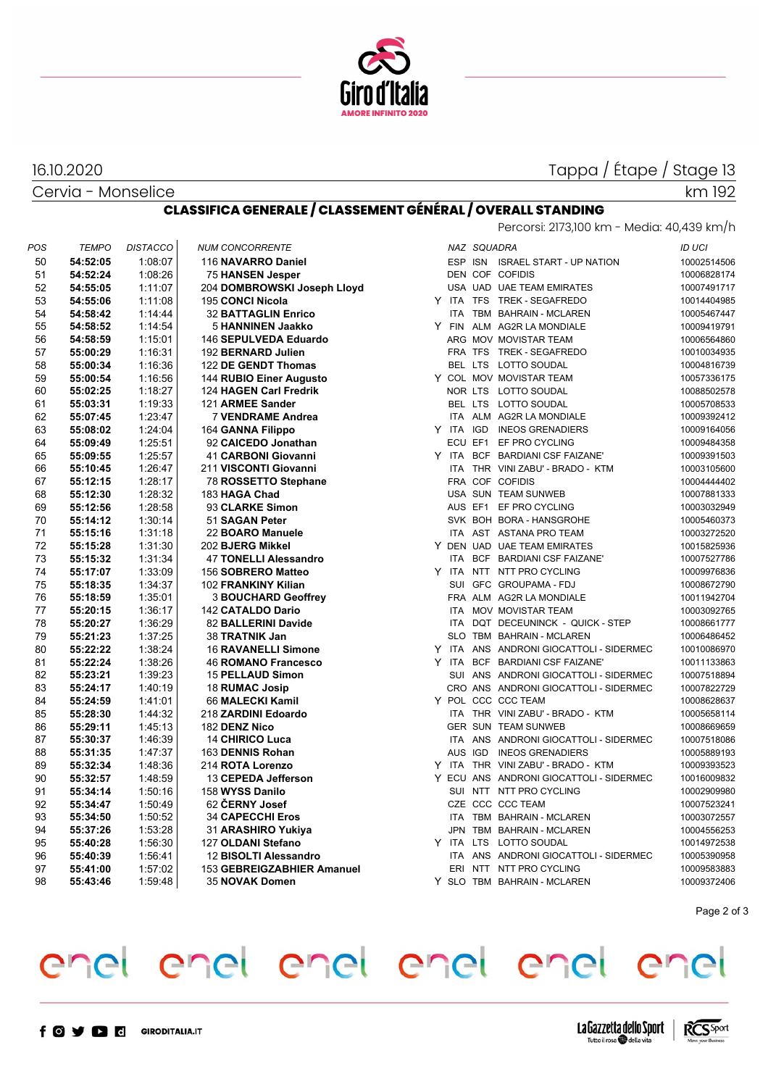

#### Cervia - Monselice 16.10.2020

# Tappa / Étape / Stage 13

km 192

#### **CLASSIFICA GENERALE / CLASSEMENT GÉNÉRAL / OVERALL STANDING**

| Percorsi: 2173,100 km - Media: 40,439 km/h |  |  |
|--------------------------------------------|--|--|
|                                            |  |  |

| <b>POS</b> | <b>TEMPO</b> | <b>DISTACCO</b> | <b>NUM CONCORRENTE</b>      |       | NAZ SQUADRA |                                         | <b>ID UCI</b> |
|------------|--------------|-----------------|-----------------------------|-------|-------------|-----------------------------------------|---------------|
| 50         | 54:52:05     | 1:08:07         | 116 NAVARRO Daniel          |       |             | ESP ISN ISRAEL START - UP NATION        | 10002514506   |
| 51         | 54:52:24     | 1:08:26         | 75 HANSEN Jesper            |       |             | DEN COF COFIDIS                         | 10006828174   |
| 52         | 54:55:05     | 1:11:07         | 204 DOMBROWSKI Joseph Lloyd |       |             | USA UAD UAE TEAM EMIRATES               | 10007491717   |
| 53         | 54:55:06     | 1:11:08         | 195 CONCI Nicola            |       |             | Y ITA TFS TREK-SEGAFREDO                | 10014404985   |
| 54         | 54:58:42     | 1:14:44         | <b>32 BATTAGLIN Enrico</b>  |       |             | ITA TBM BAHRAIN - MCLAREN               | 10005467447   |
| 55         | 54:58:52     | 1:14:54         | 5 HANNINEN Jaakko           |       |             | Y FIN ALM AG2R LA MONDIALE              | 10009419791   |
| 56         | 54:58:59     | 1:15:01         | 146 SEPULVEDA Eduardo       |       |             | ARG MOV MOVISTAR TEAM                   | 10006564860   |
| 57         | 55:00:29     | 1:16:31         | 192 BERNARD Julien          |       |             | FRA TFS TREK - SEGAFREDO                | 10010034935   |
| 58         | 55:00:34     | 1:16:36         | 122 DE GENDT Thomas         |       |             | BEL LTS LOTTO SOUDAL                    | 10004816739   |
| 59         | 55:00:54     | 1:16:56         | 144 RUBIO Einer Augusto     |       |             | Y COL MOV MOVISTAR TEAM                 | 10057336175   |
| 60         | 55:02:25     | 1:18:27         | 124 HAGEN Carl Fredrik      |       |             | NOR LTS LOTTO SOUDAL                    | 10088502578   |
| 61         | 55:03:31     | 1:19:33         | 121 ARMEE Sander            |       |             | BEL LTS LOTTO SOUDAL                    | 10005708533   |
| 62         | 55:07:45     | 1.23.47         | 7 VENDRAME Andrea           |       |             | ITA ALM AG2R LA MONDIALE                | 10009392412   |
| 63         | 55:08:02     | 1:24:04         | 164 GANNA Filippo           |       |             | Y ITA IGD INEOS GRENADIERS              | 10009164056   |
| 64         | 55:09:49     | 1.25.51         | 92 CAICEDO Jonathan         |       |             | ECU EF1 EF PRO CYCLING                  | 10009484358   |
| 65         | 55:09:55     | 1:25:57         | 41 CARBONI Giovanni         |       |             | Y ITA BCF BARDIANI CSF FAIZANE'         | 10009391503   |
| 66         | 55:10:45     | 1:26:47         | 211 VISCONTI Giovanni       |       |             | ITA THR VINI ZABU' - BRADO - KTM        | 10003105600   |
| 67         | 55:12:15     | 1:28:17         | 78 ROSSETTO Stephane        |       |             | FRA COF COFIDIS                         | 10004444402   |
| 68         | 55:12:30     | 1:28:32         | 183 HAGA Chad               |       |             | USA SUN TEAM SUNWEB                     | 10007881333   |
| 69         | 55:12:56     | 1:28:58         | 93 CLARKE Simon             |       |             | AUS EF1 EF PRO CYCLING                  | 10003032949   |
| 70         | 55:14:12     | 1:30:14         | 51 SAGAN Peter              |       |             | SVK BOH BORA - HANSGROHE                | 10005460373   |
| 71         | 55:15:16     | 1:31:18         | 22 BOARO Manuele            |       |             | ITA AST ASTANA PRO TEAM                 | 10003272520   |
| 72         | 55:15:28     | 1:31:30         | 202 BJERG Mikkel            |       |             | Y DEN UAD UAE TEAM EMIRATES             | 10015825936   |
| 73         | 55:15:32     | 1:31:34         | 47 TONELLI Alessandro       |       |             | ITA BCF BARDIANI CSF FAIZANE'           | 10007527786   |
| 74         | 55:17:07     | 1:33:09         | 156 SOBRERO Matteo          |       |             | Y ITA NTT NTT PRO CYCLING               | 10009976836   |
| 75         | 55:18:35     | 1:34:37         | 102 FRANKINY Kilian         |       |             | SUI GFC GROUPAMA - FDJ                  | 10008672790   |
| 76         | 55:18:59     | 1:35:01         | 3 BOUCHARD Geoffrey         |       |             | FRA ALM AG2R LA MONDIALE                | 10011942704   |
| 77         | 55:20:15     | 1:36:17         | 142 CATALDO Dario           |       |             | ITA MOV MOVISTAR TEAM                   | 10003092765   |
| 78         | 55:20:27     | 1:36:29         | 82 BALLERINI Davide         |       |             | ITA DQT DECEUNINCK - QUICK - STEP       | 10008661777   |
| 79         | 55:21:23     | 1:37:25         | 38 TRATNIK Jan              |       |             | SLO TBM BAHRAIN - MCLAREN               | 10006486452   |
| 80         | 55:22:22     | 1:38:24         | <b>16 RAVANELLI Simone</b>  |       |             | Y ITA ANS ANDRONI GIOCATTOLI - SIDERMEC | 10010086970   |
| 81         | 55:22:24     | 1:38:26         | <b>46 ROMANO Francesco</b>  | Y ITA |             | BCF BARDIANI CSF FAIZANE'               | 10011133863   |
| 82         | 55:23:21     | 1:39:23         | <b>15 PELLAUD Simon</b>     |       |             | SUI ANS ANDRONI GIOCATTOLI - SIDERMEC   | 10007518894   |
| 83         | 55:24:17     | 1:40:19         | 18 RUMAC Josip              |       |             | CRO ANS ANDRONI GIOCATTOLI - SIDERMEC   | 10007822729   |
| 84         | 55:24:59     | 1:41:01         | 66 MALECKI Kamil            |       |             | Y POL CCC CCC TEAM                      | 10008628637   |
| 85         | 55:28:30     | 1:44:32         | 218 ZARDINI Edoardo         |       |             | ITA THR VINI ZABU' - BRADO - KTM        | 10005658114   |
| 86         | 55:29:11     | 1:45:13         | 182 DENZ Nico               |       |             | <b>GER SUN TEAM SUNWEB</b>              | 10008669659   |
| 87         | 55:30:37     | 1:46:39         | <b>14 CHIRICO Luca</b>      |       |             | ITA ANS ANDRONI GIOCATTOLI - SIDERMEC   | 10007518086   |
| 88         | 55:31:35     | 1:47:37         | 163 DENNIS Rohan            |       |             | AUS IGD INEOS GRENADIERS                | 10005889193   |
| 89         | 55:32:34     | 1:48:36         | 214 ROTA Lorenzo            |       |             | Y ITA THR VINI ZABU' - BRADO - KTM      | 10009393523   |
| 90         | 55:32:57     | 1:48:59         | 13 CEPEDA Jefferson         |       |             | Y ECU ANS ANDRONI GIOCATTOLI - SIDERMEC | 10016009832   |
| 91         | 55:34:14     | 1:50:16         | 158 WYSS Danilo             |       |             | SUI NTT NTT PRO CYCLING                 | 10002909980   |
| 92         | 55:34:47     | 1:50:49         | 62 CERNY Josef              |       |             | CZE CCC CCC TEAM                        | 10007523241   |
| 93         | 55:34:50     | 1:50:52         | <b>34 CAPECCHI Eros</b>     |       |             | ITA TBM BAHRAIN - MCLAREN               | 10003072557   |
| 94         | 55:37:26     | 1:53:28         | 31 ARASHIRO Yukiya          |       |             | JPN TBM BAHRAIN - MCLAREN               | 10004556253   |
| 95         | 55:40:28     | 1:56:30         | 127 OLDANI Stefano          |       |             | Y ITA LTS LOTTO SOUDAL                  | 10014972538   |
| 96         | 55:40:39     | 1:56:41         | 12 BISOLTI Alessandro       |       |             | ITA ANS ANDRONI GIOCATTOLI - SIDERMEC   | 10005390958   |
| 97         | 55:41:00     | 1:57:02         | 153 GEBREIGZABHIER Amanuel  |       |             | ERI NTT NTT PRO CYCLING                 | 10009583883   |
| 98         | 55:43:46     | 1:59:48         | 35 NOVAK Domen              |       |             | Y SLO TBM BAHRAIN - MCLAREN             | 10009372406   |

|   |            | NAZ SQUADRA |                                       | ID UCI      |
|---|------------|-------------|---------------------------------------|-------------|
|   | ESP ISN    |             | <b>ISRAEL START - UP NATION</b>       | 10002514506 |
|   |            |             | <b>DEN COF COFIDIS</b>                | 10006828174 |
|   |            |             | USA UAD UAE TEAM EMIRATES             | 10007491717 |
| Y | <b>ITA</b> | <b>TFS</b>  | <b>TREK - SEGAFREDO</b>               | 10014404985 |
|   | <b>ITA</b> |             | TBM BAHRAIN - MCLAREN                 | 10005467447 |
| Y | <b>FIN</b> |             | ALM AG2R LA MONDIALE                  | 10009419791 |
|   |            |             | ARG MOV MOVISTAR TEAM                 | 10006564860 |
|   |            | FRA TFS     | <b>TREK - SEGAFREDO</b>               | 10010034935 |
|   |            | BEL LTS     | LOTTO SOUDAL                          | 10004816739 |
|   |            |             | Y COL MOV MOVISTAR TEAM               | 10057336175 |
|   |            | NOR LTS     | LOTTO SOUDAL                          | 10088502578 |
|   | BEL        | <b>LTS</b>  | LOTTO SOUDAL                          | 10005708533 |
|   | <b>ITA</b> |             | ALM AG2R LA MONDIALE                  | 10009392412 |
| Y | <b>ITA</b> | <b>IGD</b>  | <b>INEOS GRENADIERS</b>               | 10009164056 |
|   |            | ECU EF1     | EF PRO CYCLING                        | 10009484358 |
| Y | <b>ITA</b> |             | BCF BARDIANI CSF FAIZANE'             | 10009391503 |
|   | <b>ITA</b> |             | THR VINI ZABU' - BRADO - KTM          | 10003105600 |
|   |            |             | FRA COF COFIDIS                       | 10004444402 |
|   |            |             | USA SUN TEAM SUNWEB                   | 10007881333 |
|   |            | AUS EF1     | EF PRO CYCLING                        | 10003032949 |
|   |            |             | SVK BOH BORA - HANSGROHE              | 10005460373 |
|   | <b>ITA</b> | AST         | ASTANA PRO TEAM                       | 10003272520 |
| Y |            |             | DEN UAD UAE TEAM EMIRATES             | 10015825936 |
|   | <b>ITA</b> | <b>BCF</b>  | <b>BARDIANI CSF FAIZANE'</b>          | 10007527786 |
| Y | <b>ITA</b> | NTT         | NTT PRO CYCLING                       | 10009976836 |
|   | SUI        |             | GFC GROUPAMA - FDJ                    | 10008672790 |
|   |            |             | FRA ALM AG2R LA MONDIALE              | 10011942704 |
|   | <b>ITA</b> |             | MOV MOVISTAR TEAM                     | 10003092765 |
|   | <b>ITA</b> |             | DQT DECEUNINCK - QUICK - STEP         | 10008661777 |
|   | <b>SLO</b> |             | TBM BAHRAIN - MCLAREN                 | 10006486452 |
| Y | <b>ITA</b> |             | ANS ANDRONI GIOCATTOLI - SIDERMEC     | 10010086970 |
| Y | <b>ITA</b> |             | BCF BARDIANI CSF FAIZANE'             | 10011133863 |
|   | SUI        |             | ANS ANDRONI GIOCATTOLI - SIDERMEC     | 10007518894 |
|   |            |             | CRO ANS ANDRONI GIOCATTOLI - SIDERMEC | 10007822729 |
| Y | POL        |             | CCC CCC TEAM                          | 10008628637 |
|   | <b>ITA</b> |             | THR VINI ZABU' - BRADO - KTM          | 10005658114 |
|   |            |             | GER SUN TEAM SUNWEB                   | 10008669659 |
|   | <b>ITA</b> |             | ANS ANDRONI GIOCATTOLI - SIDERMEC     | 10007518086 |
|   | <b>AUS</b> | IGD         | <b>INEOS GRENADIERS</b>               | 10005889193 |
| Y | <b>ITA</b> |             | THR VINI ZABU' - BRADO - KTM          | 10009393523 |
| Y |            |             | ECU ANS ANDRONI GIOCATTOLI - SIDERMEC | 10016009832 |
|   | SUI        | NTT         | NTT PRO CYCLING                       | 10002909980 |
|   | CZE        |             | CCC CCC TEAM                          | 10007523241 |
|   | <b>ITA</b> |             | TBM BAHRAIN - MCLAREN                 | 10003072557 |
|   | <b>JPN</b> |             | TBM BAHRAIN - MCLAREN                 | 10004556253 |
|   | <b>ITA</b> | <b>LTS</b>  | LOTTO SOUDAL                          | 10014972538 |
| Y | <b>ITA</b> |             | ANS ANDRONI GIOCATTOLI - SIDERMEC     | 10005390958 |
|   | ERI        | NTT         | NTT PRO CYCLING                       | 10009583883 |
|   |            |             | Y SLO TBM BAHRAIN - MCLAREN           | 10009372406 |
|   |            |             |                                       |             |

Page 2 of 3

## enel enel enel enel enel enel